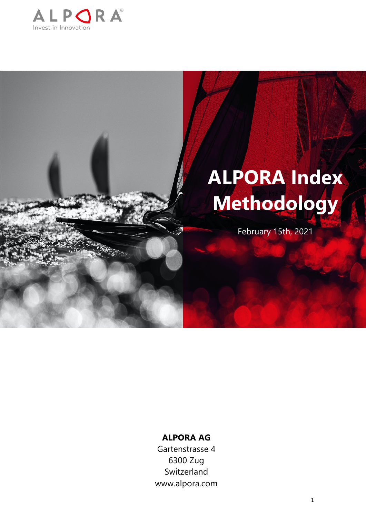

# **ALPORA Index Methodology**

February 15th, 2021

# **ALPORA AG**

Gartenstrasse 4 6300 Zug Switzerland www.alpora.com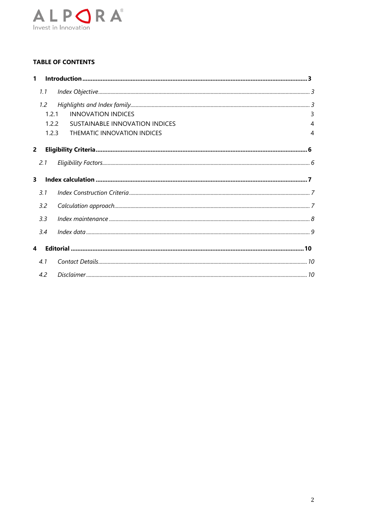

# **TABLE OF CONTENTS**

| 1                       |               |                                |   |
|-------------------------|---------------|--------------------------------|---|
|                         | 1.1           |                                |   |
|                         | $1.2^{\circ}$ |                                |   |
|                         | 1.2.1         | <b>INNOVATION INDICES</b>      | 3 |
|                         | 1.2.2         | SUSTAINABLE INNOVATION INDICES | 4 |
|                         | 1.2.3         | THEMATIC INNOVATION INDICES    | 4 |
| $\overline{2}$          |               |                                |   |
|                         | 2.1           |                                |   |
| $\overline{\mathbf{3}}$ |               |                                |   |
|                         | 3.1           |                                |   |
|                         | 3.2           |                                |   |
|                         | 3.3           |                                |   |
|                         | 3.4           |                                |   |
| 4                       |               |                                |   |
|                         | 4.1           |                                |   |
|                         | 4.2           |                                |   |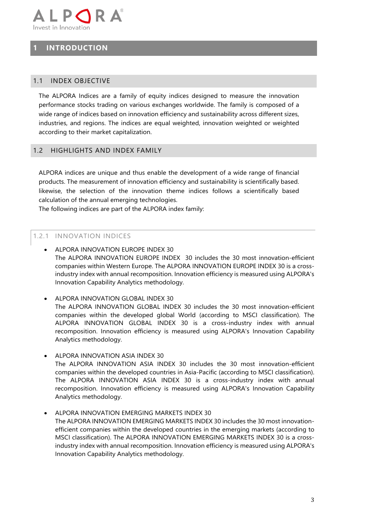

# **1 INTRODUCTION**

## 1.1 INDEX OBJECTIVE

The ALPORA Indices are a family of equity indices designed to measure the innovation performance stocks trading on various exchanges worldwide. The family is composed of a wide range of indices based on innovation efficiency and sustainability across different sizes, industries, and regions. The indices are equal weighted, innovation weighted or weighted according to their market capitalization.

#### 1.2 HIGHLIGHTS AND INDEX FAMILY

ALPORA indices are unique and thus enable the development of a wide range of financial products. The measurement of innovation efficiency and sustainability is scientifically based. likewise, the selection of the innovation theme indices follows a scientifically based calculation of the annual emerging technologies.

The following indices are part of the ALPORA index family:

#### 1.2.1 INNOVATION INDICES

- ALPORA INNOVATION EUROPE INDEX 30 The ALPORA INNOVATION EUROPE INDEX 30 includes the 30 most innovation-efficient companies within Western Europe. The ALPORA INNOVATION EUROPE INDEX 30 is a crossindustry index with annual recomposition. Innovation efficiency is measured using ALPORA's Innovation Capability Analytics methodology.
- ALPORA INNOVATION GLOBAL INDEX 30 The ALPORA INNOVATION GLOBAL INDEX 30 includes the 30 most innovation-efficient companies within the developed global World (according to MSCI classification). The ALPORA INNOVATION GLOBAL INDEX 30 is a cross-industry index with annual recomposition. Innovation efficiency is measured using ALPORA's Innovation Capability Analytics methodology.
- ALPORA INNOVATION ASIA INDEX 30 The ALPORA INNOVATION ASIA INDEX 30 includes the 30 most innovation-efficient companies within the developed countries in Asia-Pacific (according to MSCI classification). The ALPORA INNOVATION ASIA INDEX 30 is a cross-industry index with annual recomposition. Innovation efficiency is measured using ALPORA's Innovation Capability Analytics methodology.
- ALPORA INNOVATION EMERGING MARKETS INDEX 30 The ALPORA INNOVATION EMERGING MARKETS INDEX 30 includes the 30 most innovationefficient companies within the developed countries in the emerging markets (according to MSCI classification). The ALPORA INNOVATION EMERGING MARKETS INDEX 30 is a crossindustry index with annual recomposition. Innovation efficiency is measured using ALPORA's Innovation Capability Analytics methodology.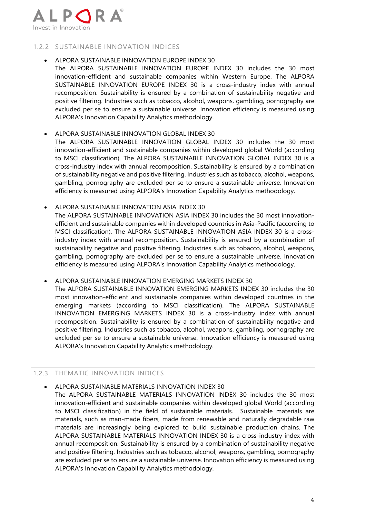

# 1.2.2 SUSTAINABLE INNOVATION INDICES

#### • ALPORA SUSTAINABLE INNOVATION EUROPE INDEX 30

The ALPORA SUSTAINABLE INNOVATION EUROPE INDEX 30 includes the 30 most innovation-efficient and sustainable companies within Western Europe. The ALPORA SUSTAINABLE INNOVATION EUROPE INDEX 30 is a cross-industry index with annual recomposition. Sustainability is ensured by a combination of sustainability negative and positive filtering. Industries such as tobacco, alcohol, weapons, gambling, pornography are excluded per se to ensure a sustainable universe. Innovation efficiency is measured using ALPORA's Innovation Capability Analytics methodology.

## • ALPORA SUSTAINABLE INNOVATION GLOBAL INDEX 30

The ALPORA SUSTAINABLE INNOVATION GLOBAL INDEX 30 includes the 30 most innovation-efficient and sustainable companies within developed global World (according to MSCI classification). The ALPORA SUSTAINABLE INNOVATION GLOBAL INDEX 30 is a cross-industry index with annual recomposition. Sustainability is ensured by a combination of sustainability negative and positive filtering. Industries such as tobacco, alcohol, weapons, gambling, pornography are excluded per se to ensure a sustainable universe. Innovation efficiency is measured using ALPORA's Innovation Capability Analytics methodology.

#### • ALPORA SUSTAINABLE INNOVATION ASIA INDEX 30

The ALPORA SUSTAINABLE INNOVATION ASIA INDEX 30 includes the 30 most innovationefficient and sustainable companies within developed countries in Asia-Pacific (according to MSCI classification). The ALPORA SUSTAINABLE INNOVATION ASIA INDEX 30 is a crossindustry index with annual recomposition. Sustainability is ensured by a combination of sustainability negative and positive filtering. Industries such as tobacco, alcohol, weapons, gambling, pornography are excluded per se to ensure a sustainable universe. Innovation efficiency is measured using ALPORA's Innovation Capability Analytics methodology.

#### • ALPORA SUSTAINABLE INNOVATION EMERGING MARKETS INDEX 30

The ALPORA SUSTAINABLE INNOVATION EMERGING MARKETS INDEX 30 includes the 30 most innovation-efficient and sustainable companies within developed countries in the emerging markets (according to MSCI classification). The ALPORA SUSTAINABLE INNOVATION EMERGING MARKETS INDEX 30 is a cross-industry index with annual recomposition. Sustainability is ensured by a combination of sustainability negative and positive filtering. Industries such as tobacco, alcohol, weapons, gambling, pornography are excluded per se to ensure a sustainable universe. Innovation efficiency is measured using ALPORA's Innovation Capability Analytics methodology.

# 1.2.3 THEMATIC INNOVATION INDICES

# • ALPORA SUSTAINABLE MATERIALS INNOVATION INDEX 30

The ALPORA SUSTAINABLE MATERIALS INNOVATION INDEX 30 includes the 30 most innovation-efficient and sustainable companies within developed global World (according to MSCI classification) in the field of sustainable materials. Sustainable materials are materials, such as man-made fibers, made from renewable and naturally degradable raw materials are increasingly being explored to build sustainable production chains. The ALPORA SUSTAINABLE MATERIALS INNOVATION INDEX 30 is a cross-industry index with annual recomposition. Sustainability is ensured by a combination of sustainability negative and positive filtering. Industries such as tobacco, alcohol, weapons, gambling, pornography are excluded per se to ensure a sustainable universe. Innovation efficiency is measured using ALPORA's Innovation Capability Analytics methodology.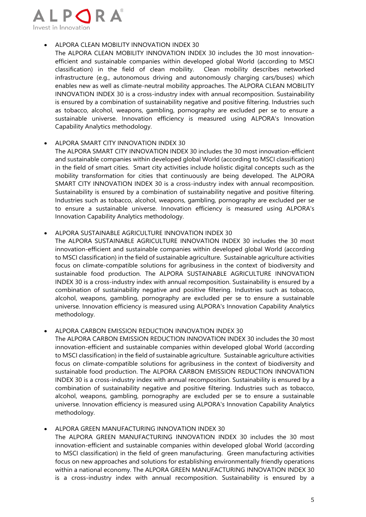

## • ALPORA CLEAN MOBILITY INNOVATION INDEX 30

The ALPORA CLEAN MOBILITY INNOVATION INDEX 30 includes the 30 most innovationefficient and sustainable companies within developed global World (according to MSCI classification) in the field of clean mobility. Clean mobility describes networked infrastructure (e.g., autonomous driving and autonomously charging cars/buses) which enables new as well as climate-neutral mobility approaches. The ALPORA CLEAN MOBILITY INNOVATION INDEX 30 is a cross-industry index with annual recomposition. Sustainability is ensured by a combination of sustainability negative and positive filtering. Industries such as tobacco, alcohol, weapons, gambling, pornography are excluded per se to ensure a sustainable universe. Innovation efficiency is measured using ALPORA's Innovation Capability Analytics methodology.

#### • ALPORA SMART CITY INNOVATION INDEX 30

The ALPORA SMART CITY INNOVATION INDEX 30 includes the 30 most innovation-efficient and sustainable companies within developed global World (according to MSCI classification) in the field of smart cities. Smart city activities include holistic digital concepts such as the mobility transformation for cities that continuously are being developed. The ALPORA SMART CITY INNOVATION INDEX 30 is a cross-industry index with annual recomposition. Sustainability is ensured by a combination of sustainability negative and positive filtering. Industries such as tobacco, alcohol, weapons, gambling, pornography are excluded per se to ensure a sustainable universe. Innovation efficiency is measured using ALPORA's Innovation Capability Analytics methodology.

#### ALPORA SUSTAINABLE AGRICULTURE INNOVATION INDEX 30

The ALPORA SUSTAINABLE AGRICULTURE INNOVATION INDEX 30 includes the 30 most innovation-efficient and sustainable companies within developed global World (according to MSCI classification) in the field of sustainable agriculture. Sustainable agriculture activities focus on climate-compatible solutions for agribusiness in the context of biodiversity and sustainable food production. The ALPORA SUSTAINABLE AGRICULTURE INNOVATION INDEX 30 is a cross-industry index with annual recomposition. Sustainability is ensured by a combination of sustainability negative and positive filtering. Industries such as tobacco, alcohol, weapons, gambling, pornography are excluded per se to ensure a sustainable universe. Innovation efficiency is measured using ALPORA's Innovation Capability Analytics methodology.

# • ALPORA CARBON EMISSION REDUCTION INNOVATION INDEX 30

The ALPORA CARBON EMISSION REDUCTION INNOVATION INDEX 30 includes the 30 most innovation-efficient and sustainable companies within developed global World (according to MSCI classification) in the field of sustainable agriculture. Sustainable agriculture activities focus on climate-compatible solutions for agribusiness in the context of biodiversity and sustainable food production. The ALPORA CARBON EMISSION REDUCTION INNOVATION INDEX 30 is a cross-industry index with annual recomposition. Sustainability is ensured by a combination of sustainability negative and positive filtering. Industries such as tobacco, alcohol, weapons, gambling, pornography are excluded per se to ensure a sustainable universe. Innovation efficiency is measured using ALPORA's Innovation Capability Analytics methodology.

# • ALPORA GREEN MANUFACTURING INNOVATION INDEX 30

The ALPORA GREEN MANUFACTURING INNOVATION INDEX 30 includes the 30 most innovation-efficient and sustainable companies within developed global World (according to MSCI classification) in the field of green manufacturing. Green manufacturing activities focus on new approaches and solutions for establishing environmentally friendly operations within a national economy. The ALPORA GREEN MANUFACTURING INNOVATION INDEX 30 is a cross-industry index with annual recomposition. Sustainability is ensured by a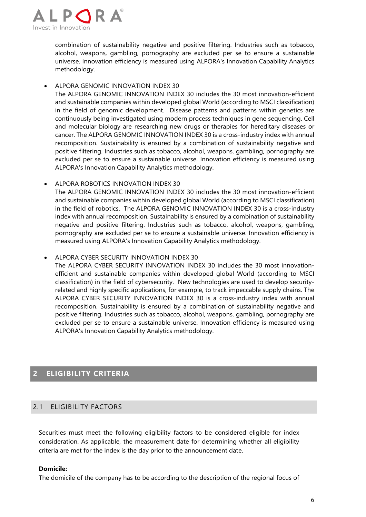

combination of sustainability negative and positive filtering. Industries such as tobacco, alcohol, weapons, gambling, pornography are excluded per se to ensure a sustainable universe. Innovation efficiency is measured using ALPORA's Innovation Capability Analytics methodology.

#### • ALPORA GENOMIC INNOVATION INDEX 30

The ALPORA GENOMIC INNOVATION INDEX 30 includes the 30 most innovation-efficient and sustainable companies within developed global World (according to MSCI classification) in the field of genomic development. Disease patterns and patterns within genetics are continuously being investigated using modern process techniques in gene sequencing. Cell and molecular biology are researching new drugs or therapies for hereditary diseases or cancer. The ALPORA GENOMIC INNOVATION INDEX 30 is a cross-industry index with annual recomposition. Sustainability is ensured by a combination of sustainability negative and positive filtering. Industries such as tobacco, alcohol, weapons, gambling, pornography are excluded per se to ensure a sustainable universe. Innovation efficiency is measured using ALPORA's Innovation Capability Analytics methodology.

#### • ALPORA ROBOTICS INNOVATION INDEX 30

The ALPORA GENOMIC INNOVATION INDEX 30 includes the 30 most innovation-efficient and sustainable companies within developed global World (according to MSCI classification) in the field of robotics. The ALPORA GENOMIC INNOVATION INDEX 30 is a cross-industry index with annual recomposition. Sustainability is ensured by a combination of sustainability negative and positive filtering. Industries such as tobacco, alcohol, weapons, gambling, pornography are excluded per se to ensure a sustainable universe. Innovation efficiency is measured using ALPORA's Innovation Capability Analytics methodology.

• ALPORA CYBER SECURITY INNOVATION INDEX 30

The ALPORA CYBER SECURITY INNOVATION INDEX 30 includes the 30 most innovationefficient and sustainable companies within developed global World (according to MSCI classification) in the field of cybersecurity. New technologies are used to develop securityrelated and highly specific applications, for example, to track impeccable supply chains. The ALPORA CYBER SECURITY INNOVATION INDEX 30 is a cross-industry index with annual recomposition. Sustainability is ensured by a combination of sustainability negative and positive filtering. Industries such as tobacco, alcohol, weapons, gambling, pornography are excluded per se to ensure a sustainable universe. Innovation efficiency is measured using ALPORA's Innovation Capability Analytics methodology.

# **2 ELIGIBILITY CRITERIA**

# 2.1 ELIGIBILITY FACTORS

Securities must meet the following eligibility factors to be considered eligible for index consideration. As applicable, the measurement date for determining whether all eligibility criteria are met for the index is the day prior to the announcement date.

#### **Domicile:**

The domicile of the company has to be according to the description of the regional focus of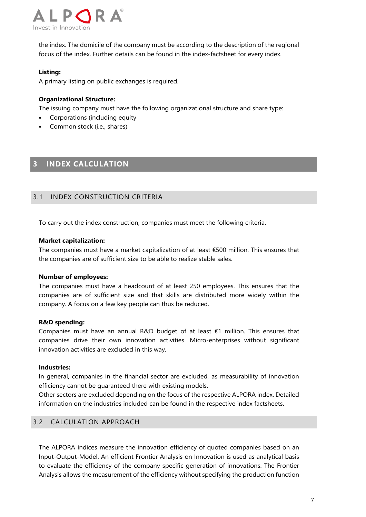

the index. The domicile of the company must be according to the description of the regional focus of the index. Further details can be found in the index-factsheet for every index.

# **Listing:**

A primary listing on public exchanges is required.

#### **Organizational Structure:**

The issuing company must have the following organizational structure and share type:

- Corporations (including equity
- Common stock (i.e., shares)

# **3 INDEX CALCULATION**

#### 3.1 INDEX CONSTRUCTION CRITERIA

To carry out the index construction, companies must meet the following criteria.

#### **Market capitalization:**

The companies must have a market capitalization of at least €500 million. This ensures that the companies are of sufficient size to be able to realize stable sales.

#### **Number of employees:**

The companies must have a headcount of at least 250 employees. This ensures that the companies are of sufficient size and that skills are distributed more widely within the company. A focus on a few key people can thus be reduced.

#### **R&D spending:**

Companies must have an annual R&D budget of at least €1 million. This ensures that companies drive their own innovation activities. Micro-enterprises without significant innovation activities are excluded in this way.

#### **Industries:**

In general, companies in the financial sector are excluded, as measurability of innovation efficiency cannot be guaranteed there with existing models.

Other sectors are excluded depending on the focus of the respective ALPORA index. Detailed information on the industries included can be found in the respective index factsheets.

# 3.2 CALCULATION APPROACH

The ALPORA indices measure the innovation efficiency of quoted companies based on an Input-Output-Model. An efficient Frontier Analysis on Innovation is used as analytical basis to evaluate the efficiency of the company specific generation of innovations. The Frontier Analysis allows the measurement of the efficiency without specifying the production function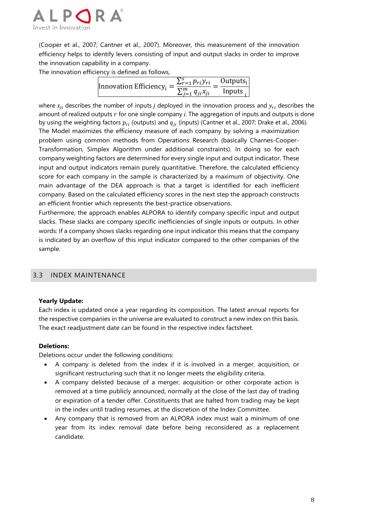

(Cooper et al., 2007; Cantner et al., 2007). Moreover, this measurement of the innovation efficiency helps to identify levers consisting of input and output slacks in order to improve the innovation capability in a company.

The innovation efficiency is defined as follows,

| Innovation Efficiency <sub>i</sub> = | $\sum_{r=1}^{s} p_{ri}y_{ri}$ | $Outputs_i$ |
|--------------------------------------|-------------------------------|-------------|
|                                      | $\sum_{i=1}^m q_{ji}x_{ji}$   | Inputs.     |

where  $x_{ii}$  describes the number of inputs *j* deployed in the innovation process and  $y_{ri}$  describes the amount of realized outputs r for one single company *i*. The aggregation of inputs and outputs is done by using the weighting factors  $p_{ri}$  (outputs) and  $q_{ji}$  (inputs) (Cantner et al., 2007; Drake et al., 2006). The Model maximizes the efficiency measure of each company by solving a maximization problem using common methods from Operations Research (basically Charnes-Cooper-Transformation, Simplex Algorithm under additional constraints). In doing so for each company weighting factors are determined for every single input and output indicator. These input and output indicators remain purely quantitative. Therefore, the calculated efficiency score for each company in the sample is characterized by a maximum of objectivity. One main advantage of the DEA approach is that a target is identified for each inefficient company. Based on the calculated efficiency scores in the next step the approach constructs an efficient frontier which represents the best-practice observations.

Furthermore, the approach enables ALPORA to identify company specific input and output slacks. These slacks are company specific inefficiencies of single inputs or outputs. In other words: If a company shows slacks regarding one input indicator this means that the company is indicated by an overflow of this input indicator compared to the other companies of the sample.

# 3.3 INDEX MAINTENANCE

#### **Yearly Update:**

Each index is updated once a year regarding its composition. The latest annual reports for the respective companies in the universe are evaluated to construct a new index on this basis. The exact readjustment date can be found in the respective index factsheet.

#### **Deletions:**

Deletions occur under the following conditions:

- A company is deleted from the index if it is involved in a merger, acquisition, or significant restructuring such that it no longer meets the eligibility criteria.
- A company delisted because of a merger, acquisition or other corporate action is removed at a time publicly announced, normally at the close of the last day of trading or expiration of a tender offer. Constituents that are halted from trading may be kept in the index until trading resumes, at the discretion of the Index Committee.
- Any company that is removed from an ALPORA index must wait a minimum of one year from its index removal date before being reconsidered as a replacement candidate.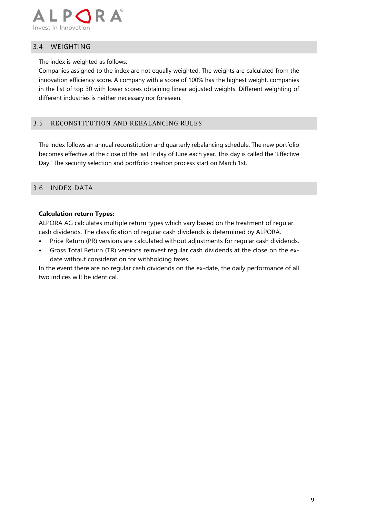

## 3.4 WEIGHTING

The index is weighted as follows:

Companies assigned to the index are not equally weighted. The weights are calculated from the innovation efficiency score. A company with a score of 100% has the highest weight, companies in the list of top 30 with lower scores obtaining linear adjusted weights. Different weighting of different industries is neither necessary nor foreseen.

## 3.5 RECONSTITUTION AND REBALANCING RULES

The index follows an annual reconstitution and quarterly rebalancing schedule. The new portfolio becomes effective at the close of the last Friday of June each year. This day is called the 'Effective Day.' The security selection and portfolio creation process start on March 1st.

#### 3.6 INDEX DATA

#### **Calculation return Types:**

ALPORA AG calculates multiple return types which vary based on the treatment of regular. cash dividends. The classification of regular cash dividends is determined by ALPORA.

- Price Return (PR) versions are calculated without adjustments for regular cash dividends.
- Gross Total Return (TR) versions reinvest regular cash dividends at the close on the exdate without consideration for withholding taxes.

In the event there are no regular cash dividends on the ex-date, the daily performance of all two indices will be identical.